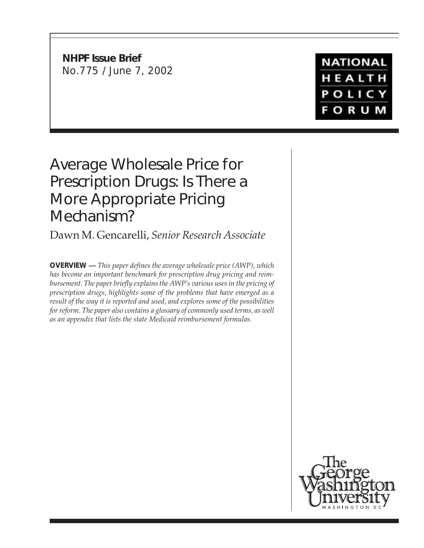**NHPF Issue Brief** No.775 / June 7, 2002

## **NATIONAL** HEALTH POLICY **FORUM**

# Average Wholesale Price for Prescription Drugs: Is There a More Appropriate Pricing Mechanism?

Dawn M. Gencarelli, *Senior Research Associate*

**OVERVIEW —** *This paper defines the average wholesale price (AWP), which has become an important benchmark for prescription drug pricing and reimbursement. The paper briefly explains the AWP's various uses in the pricing of prescription drugs, highlights some of the problems that have emerged as a result of the way it is reported and used, and explores some of the possibilities for reform. The paper also contains a glossary of commonly used terms, as well as an appendix that lists the state Medicaid reimbursement formulas.*

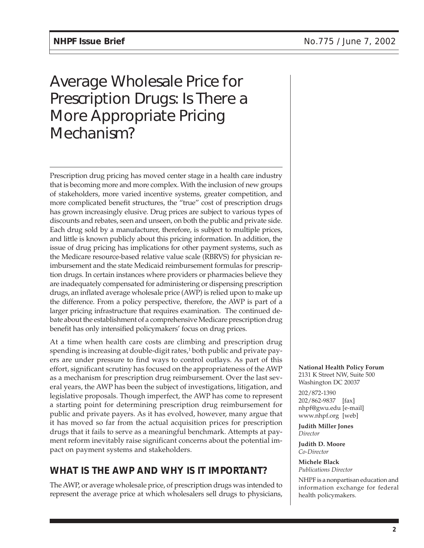# Average Wholesale Price for Prescription Drugs: Is There a More Appropriate Pricing Mechanism?

Prescription drug pricing has moved center stage in a health care industry that is becoming more and more complex. With the inclusion of new groups of stakeholders, more varied incentive systems, greater competition, and more complicated benefit structures, the "true" cost of prescription drugs has grown increasingly elusive. Drug prices are subject to various types of discounts and rebates, seen and unseen, on both the public and private side. Each drug sold by a manufacturer, therefore, is subject to multiple prices, and little is known publicly about this pricing information. In addition, the issue of drug pricing has implications for other payment systems, such as the Medicare resource-based relative value scale (RBRVS) for physician reimbursement and the state Medicaid reimbursement formulas for prescription drugs. In certain instances where providers or pharmacies believe they are inadequately compensated for administering or dispensing prescription drugs, an inflated average wholesale price (AWP) is relied upon to make up the difference. From a policy perspective, therefore, the AWP is part of a larger pricing infrastructure that requires examination. The continued debate about the establishment of a comprehensive Medicare prescription drug benefit has only intensified policymakers' focus on drug prices.

At a time when health care costs are climbing and prescription drug spending is increasing at double-digit rates,<sup>1</sup> both public and private payers are under pressure to find ways to control outlays. As part of this effort, significant scrutiny has focused on the appropriateness of the AWP as a mechanism for prescription drug reimbursement. Over the last several years, the AWP has been the subject of investigations, litigation, and legislative proposals. Though imperfect, the AWP has come to represent a starting point for determining prescription drug reimbursement for public and private payers. As it has evolved, however, many argue that it has moved so far from the actual acquisition prices for prescription drugs that it fails to serve as a meaningful benchmark. Attempts at payment reform inevitably raise significant concerns about the potential impact on payment systems and stakeholders.

## **WHAT IS THE AWP AND WHY IS IT IMPORTANT?**

The AWP, or average wholesale price, of prescription drugs was intended to represent the average price at which wholesalers sell drugs to physicians, **National Health Policy Forum** 2131 K Street NW, Suite 500 Washington DC 20037

202/872-1390 202/862-9837 [fax] nhpf@gwu.edu [e-mail] www.nhpf.org [web]

**Judith Miller Jones** *Director*

**Judith D. Moore** *Co-Director*

**Michele Black** *Publications Director*

NHPF is a nonpartisan education and information exchange for federal health policymakers.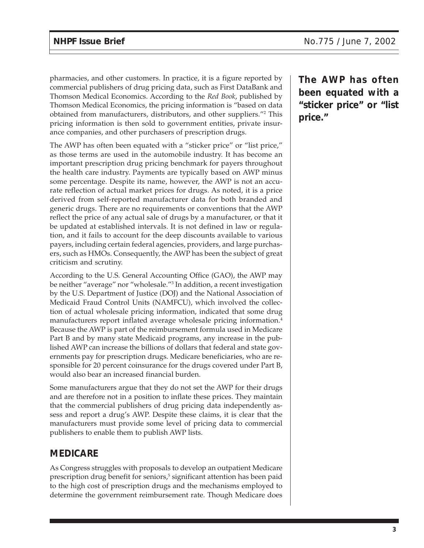pharmacies, and other customers. In practice, it is a figure reported by commercial publishers of drug pricing data, such as First DataBank and Thomson Medical Economics. According to the *Red Book*, published by Thomson Medical Economics, the pricing information is "based on data obtained from manufacturers, distributors, and other suppliers."2 This pricing information is then sold to government entities, private insurance companies, and other purchasers of prescription drugs.

The AWP has often been equated with a "sticker price" or "list price," as those terms are used in the automobile industry. It has become an important prescription drug pricing benchmark for payers throughout the health care industry. Payments are typically based on AWP minus some percentage. Despite its name, however, the AWP is not an accurate reflection of actual market prices for drugs. As noted, it is a price derived from self-reported manufacturer data for both branded and generic drugs. There are no requirements or conventions that the AWP reflect the price of any actual sale of drugs by a manufacturer, or that it be updated at established intervals. It is not defined in law or regulation, and it fails to account for the deep discounts available to various payers, including certain federal agencies, providers, and large purchasers, such as HMOs. Consequently, the AWP has been the subject of great criticism and scrutiny.

According to the U.S. General Accounting Office (GAO), the AWP may be neither "average" nor "wholesale."3 In addition, a recent investigation by the U.S. Department of Justice (DOJ) and the National Association of Medicaid Fraud Control Units (NAMFCU), which involved the collection of actual wholesale pricing information, indicated that some drug manufacturers report inflated average wholesale pricing information.4 Because the AWP is part of the reimbursement formula used in Medicare Part B and by many state Medicaid programs, any increase in the published AWP can increase the billions of dollars that federal and state governments pay for prescription drugs. Medicare beneficiaries, who are responsible for 20 percent coinsurance for the drugs covered under Part B, would also bear an increased financial burden.

Some manufacturers argue that they do not set the AWP for their drugs and are therefore not in a position to inflate these prices. They maintain that the commercial publishers of drug pricing data independently assess and report a drug's AWP. Despite these claims, it is clear that the manufacturers must provide some level of pricing data to commercial publishers to enable them to publish AWP lists.

#### **MEDICARE**

As Congress struggles with proposals to develop an outpatient Medicare prescription drug benefit for seniors,<sup>5</sup> significant attention has been paid to the high cost of prescription drugs and the mechanisms employed to determine the government reimbursement rate. Though Medicare does **The AWP has often been equated with a "sticker price" or "list price."**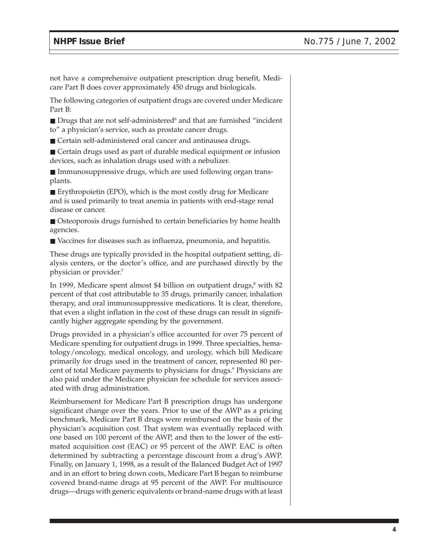not have a comprehensive outpatient prescription drug benefit, Medicare Part B does cover approximately 450 drugs and biologicals.

The following categories of outpatient drugs are covered under Medicare Part B:

 $\blacksquare$  Drugs that are not self-administered<sup>6</sup> and that are furnished "incident to" a physician's service, such as prostate cancer drugs.

■ Certain self-administered oral cancer and antinausea drugs.

■ Certain drugs used as part of durable medical equipment or infusion devices, such as inhalation drugs used with a nebulizer.

■ Immunosuppressive drugs, which are used following organ transplants.

■ Erythropoietin (EPO), which is the most costly drug for Medicare and is used primarily to treat anemia in patients with end-stage renal disease or cancer.

■ Osteoporosis drugs furnished to certain beneficiaries by home health agencies.

■ Vaccines for diseases such as influenza, pneumonia, and hepatitis.

These drugs are typically provided in the hospital outpatient setting, dialysis centers, or the doctor's office, and are purchased directly by the physician or provider.7

In 1999, Medicare spent almost \$4 billion on outpatient drugs,<sup>8</sup> with 82 percent of that cost attributable to 35 drugs, primarily cancer, inhalation therapy, and oral immunosuppressive medications. It is clear, therefore, that even a slight inflation in the cost of these drugs can result in significantly higher aggregate spending by the government.

Drugs provided in a physician's office accounted for over 75 percent of Medicare spending for outpatient drugs in 1999. Three specialties, hematology/oncology, medical oncology, and urology, which bill Medicare primarily for drugs used in the treatment of cancer, represented 80 percent of total Medicare payments to physicians for drugs.9 Physicians are also paid under the Medicare physician fee schedule for services associated with drug administration.

Reimbursement for Medicare Part B prescription drugs has undergone significant change over the years. Prior to use of the AWP as a pricing benchmark, Medicare Part B drugs were reimbursed on the basis of the physician's acquisition cost. That system was eventually replaced with one based on 100 percent of the AWP, and then to the lower of the estimated acquisition cost (EAC) or 95 percent of the AWP. EAC is often determined by subtracting a percentage discount from a drug's AWP. Finally, on January 1, 1998, as a result of the Balanced Budget Act of 1997 and in an effort to bring down costs, Medicare Part B began to reimburse covered brand-name drugs at 95 percent of the AWP. For multisource drugs—drugs with generic equivalents or brand-name drugs with at least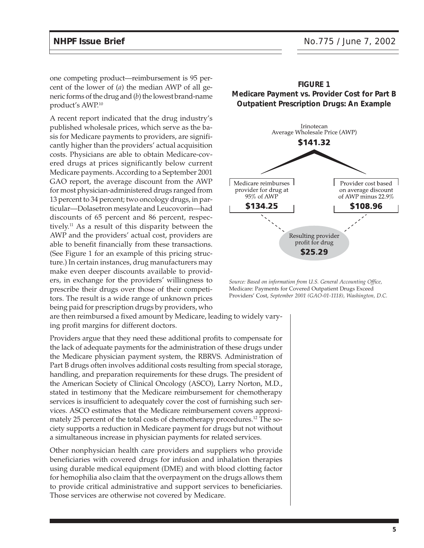one competing product—reimbursement is 95 percent of the lower of (*a*) the median AWP of all generic forms of the drug and (*b*) the lowest brand-name product's AWP.10

A recent report indicated that the drug industry's published wholesale prices, which serve as the basis for Medicare payments to providers, are significantly higher than the providers' actual acquisition costs. Physicians are able to obtain Medicare-covered drugs at prices significantly below current Medicare payments. According to a September 2001 GAO report, the average discount from the AWP for most physician-administered drugs ranged from 13 percent to 34 percent; two oncology drugs, in particular—Dolasetron mesylate and Leucovorin—had discounts of 65 percent and 86 percent, respectively.11 As a result of this disparity between the AWP and the providers' actual cost, providers are able to benefit financially from these transactions. (See Figure 1 for an example of this pricing structure.) In certain instances, drug manufacturers may make even deeper discounts available to providers, in exchange for the providers' willingness to prescribe their drugs over those of their competitors. The result is a wide range of unknown prices being paid for prescription drugs by providers, who

are then reimbursed a fixed amount by Medicare, leading to widely varying profit margins for different doctors.

Providers argue that they need these additional profits to compensate for the lack of adequate payments for the administration of these drugs under the Medicare physician payment system, the RBRVS. Administration of Part B drugs often involves additional costs resulting from special storage, handling, and preparation requirements for these drugs. The president of the American Society of Clinical Oncology (ASCO), Larry Norton, M.D., stated in testimony that the Medicare reimbursement for chemotherapy services is insufficient to adequately cover the cost of furnishing such services. ASCO estimates that the Medicare reimbursement covers approximately 25 percent of the total costs of chemotherapy procedures.<sup>12</sup> The society supports a reduction in Medicare payment for drugs but not without a simultaneous increase in physician payments for related services.

Other nonphysician health care providers and suppliers who provide beneficiaries with covered drugs for infusion and inhalation therapies using durable medical equipment (DME) and with blood clotting factor for hemophilia also claim that the overpayment on the drugs allows them to provide critical administrative and support services to beneficiaries. Those services are otherwise not covered by Medicare.



*Source: Based on information from U.S. General Accounting Office,* Medicare: Payments for Covered Outpatient Drugs Exceed Providers' Cost, *September 2001 (GAO-01-1118), Washington, D.C.*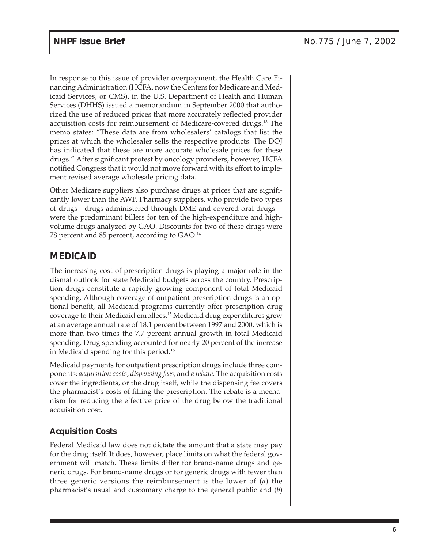In response to this issue of provider overpayment, the Health Care Financing Administration (HCFA, now the Centers for Medicare and Medicaid Services, or CMS), in the U.S. Department of Health and Human Services (DHHS) issued a memorandum in September 2000 that authorized the use of reduced prices that more accurately reflected provider acquisition costs for reimbursement of Medicare-covered drugs.13 The memo states: "These data are from wholesalers' catalogs that list the prices at which the wholesaler sells the respective products. The DOJ has indicated that these are more accurate wholesale prices for these drugs." After significant protest by oncology providers, however, HCFA notified Congress that it would not move forward with its effort to implement revised average wholesale pricing data.

Other Medicare suppliers also purchase drugs at prices that are significantly lower than the AWP. Pharmacy suppliers, who provide two types of drugs—drugs administered through DME and covered oral drugs were the predominant billers for ten of the high-expenditure and highvolume drugs analyzed by GAO. Discounts for two of these drugs were 78 percent and 85 percent, according to GAO.14

#### **MEDICAID**

The increasing cost of prescription drugs is playing a major role in the dismal outlook for state Medicaid budgets across the country. Prescription drugs constitute a rapidly growing component of total Medicaid spending. Although coverage of outpatient prescription drugs is an optional benefit, all Medicaid programs currently offer prescription drug coverage to their Medicaid enrollees.15 Medicaid drug expenditures grew at an average annual rate of 18.1 percent between 1997 and 2000, which is more than two times the 7.7 percent annual growth in total Medicaid spending. Drug spending accounted for nearly 20 percent of the increase in Medicaid spending for this period.16

Medicaid payments for outpatient prescription drugs include three components: *acquisition costs*, *dispensing fees,* and *a rebate*. The acquisition costs cover the ingredients, or the drug itself, while the dispensing fee covers the pharmacist's costs of filling the prescription. The rebate is a mechanism for reducing the effective price of the drug below the traditional acquisition cost.

#### **Acquisition Costs**

Federal Medicaid law does not dictate the amount that a state may pay for the drug itself. It does, however, place limits on what the federal government will match. These limits differ for brand-name drugs and generic drugs. For brand-name drugs or for generic drugs with fewer than three generic versions the reimbursement is the lower of (*a*) the pharmacist's usual and customary charge to the general public and (*b*)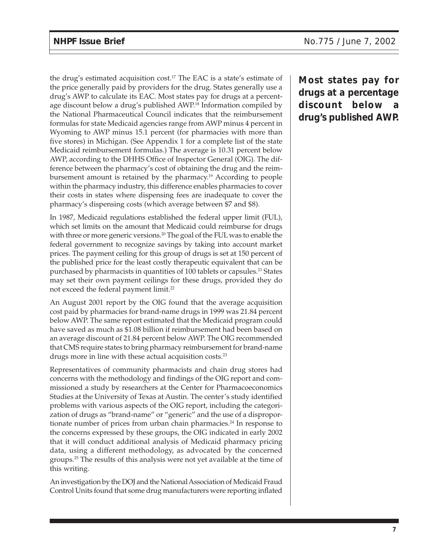the drug's estimated acquisition cost.<sup>17</sup> The EAC is a state's estimate of the price generally paid by providers for the drug. States generally use a drug's AWP to calculate its EAC. Most states pay for drugs at a percentage discount below a drug's published AWP.18 Information compiled by the National Pharmaceutical Council indicates that the reimbursement formulas for state Medicaid agencies range from AWP minus 4 percent in Wyoming to AWP minus 15.1 percent (for pharmacies with more than five stores) in Michigan. (See Appendix 1 for a complete list of the state Medicaid reimbursement formulas.) The average is 10.31 percent below AWP, according to the DHHS Office of Inspector General (OIG). The difference between the pharmacy's cost of obtaining the drug and the reimbursement amount is retained by the pharmacy.19 According to people within the pharmacy industry, this difference enables pharmacies to cover their costs in states where dispensing fees are inadequate to cover the pharmacy's dispensing costs (which average between \$7 and \$8).

In 1987, Medicaid regulations established the federal upper limit (FUL), which set limits on the amount that Medicaid could reimburse for drugs with three or more generic versions.<sup>20</sup> The goal of the FUL was to enable the federal government to recognize savings by taking into account market prices. The payment ceiling for this group of drugs is set at 150 percent of the published price for the least costly therapeutic equivalent that can be purchased by pharmacists in quantities of 100 tablets or capsules.21 States may set their own payment ceilings for these drugs, provided they do not exceed the federal payment limit.<sup>22</sup>

An August 2001 report by the OIG found that the average acquisition cost paid by pharmacies for brand-name drugs in 1999 was 21.84 percent below AWP. The same report estimated that the Medicaid program could have saved as much as \$1.08 billion if reimbursement had been based on an average discount of 21.84 percent below AWP. The OIG recommended that CMS require states to bring pharmacy reimbursement for brand-name drugs more in line with these actual acquisition costs.23

Representatives of community pharmacists and chain drug stores had concerns with the methodology and findings of the OIG report and commissioned a study by researchers at the Center for Pharmacoeconomics Studies at the University of Texas at Austin. The center's study identified problems with various aspects of the OIG report, including the categorization of drugs as "brand-name" or "generic" and the use of a disproportionate number of prices from urban chain pharmacies. $24$  In response to the concerns expressed by these groups, the OIG indicated in early 2002 that it will conduct additional analysis of Medicaid pharmacy pricing data, using a different methodology, as advocated by the concerned groups.25 The results of this analysis were not yet available at the time of this writing.

An investigation by the DOJ and the National Association of Medicaid Fraud Control Units found that some drug manufacturers were reporting inflated **Most states pay for drugs at a percentage discount below a drug's published AWP.**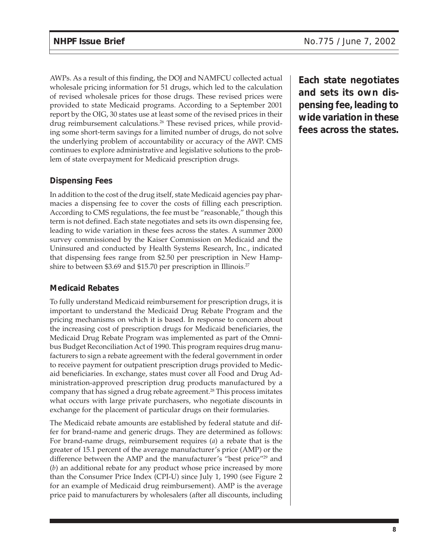AWPs. As a result of this finding, the DOJ and NAMFCU collected actual wholesale pricing information for 51 drugs, which led to the calculation of revised wholesale prices for those drugs. These revised prices were provided to state Medicaid programs. According to a September 2001 report by the OIG, 30 states use at least some of the revised prices in their drug reimbursement calculations.<sup>26</sup> These revised prices, while providing some short-term savings for a limited number of drugs, do not solve the underlying problem of accountability or accuracy of the AWP. CMS continues to explore administrative and legislative solutions to the problem of state overpayment for Medicaid prescription drugs.

#### **Dispensing Fees**

In addition to the cost of the drug itself, state Medicaid agencies pay pharmacies a dispensing fee to cover the costs of filling each prescription. According to CMS regulations, the fee must be "reasonable," though this term is not defined. Each state negotiates and sets its own dispensing fee, leading to wide variation in these fees across the states. A summer 2000 survey commissioned by the Kaiser Commission on Medicaid and the Uninsured and conducted by Health Systems Research, Inc., indicated that dispensing fees range from \$2.50 per prescription in New Hampshire to between \$3.69 and \$15.70 per prescription in Illinois.<sup>27</sup>

#### **Medicaid Rebates**

To fully understand Medicaid reimbursement for prescription drugs, it is important to understand the Medicaid Drug Rebate Program and the pricing mechanisms on which it is based. In response to concern about the increasing cost of prescription drugs for Medicaid beneficiaries, the Medicaid Drug Rebate Program was implemented as part of the Omnibus Budget Reconciliation Act of 1990. This program requires drug manufacturers to sign a rebate agreement with the federal government in order to receive payment for outpatient prescription drugs provided to Medicaid beneficiaries. In exchange, states must cover all Food and Drug Administration-approved prescription drug products manufactured by a company that has signed a drug rebate agreement.<sup>28</sup> This process imitates what occurs with large private purchasers, who negotiate discounts in exchange for the placement of particular drugs on their formularies.

The Medicaid rebate amounts are established by federal statute and differ for brand-name and generic drugs. They are determined as follows: For brand-name drugs, reimbursement requires (*a*) a rebate that is the greater of 15.1 percent of the average manufacturer's price (AMP) or the difference between the AMP and the manufacturer's "best price"<sup>29</sup> and (*b*) an additional rebate for any product whose price increased by more than the Consumer Price Index (CPI-U) since July 1, 1990 (see Figure 2 for an example of Medicaid drug reimbursement). AMP is the average price paid to manufacturers by wholesalers (after all discounts, including

**Each state negotiates and sets its own dispensing fee, leading to wide variation in these fees across the states.**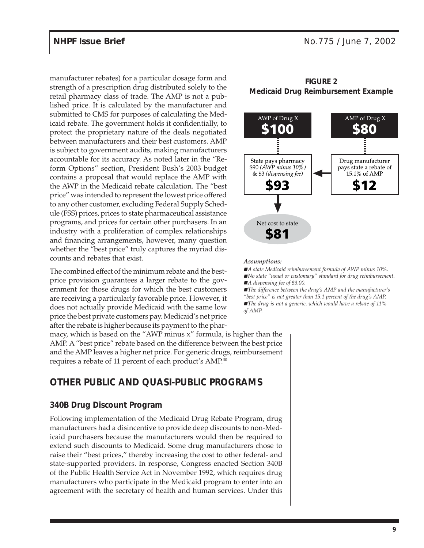manufacturer rebates) for a particular dosage form and strength of a prescription drug distributed solely to the retail pharmacy class of trade. The AMP is not a published price. It is calculated by the manufacturer and submitted to CMS for purposes of calculating the Medicaid rebate. The government holds it confidentially, to protect the proprietary nature of the deals negotiated between manufacturers and their best customers. AMP is subject to government audits, making manufacturers accountable for its accuracy. As noted later in the "Reform Options" section, President Bush's 2003 budget contains a proposal that would replace the AMP with the AWP in the Medicaid rebate calculation. The "best price" was intended to represent the lowest price offered to any other customer, excluding Federal Supply Schedule (FSS) prices, prices to state pharmaceutical assistance programs, and prices for certain other purchasers. In an industry with a proliferation of complex relationships and financing arrangements, however, many question whether the "best price" truly captures the myriad discounts and rebates that exist.

The combined effect of the minimum rebate and the bestprice provision guarantees a larger rebate to the government for those drugs for which the best customers are receiving a particularly favorable price. However, it does not actually provide Medicaid with the same low price the best private customers pay. Medicaid's net price after the rebate is higher because its payment to the phar-

macy, which is based on the "AWP minus x" formula, is higher than the AMP. A "best price" rebate based on the difference between the best price and the AMP leaves a higher net price. For generic drugs, reimbursement requires a rebate of 11 percent of each product's AMP.<sup>30</sup>

#### **OTHER PUBLIC AND QUASI-PUBLIC PROGRAMS**

#### **340B Drug Discount Program**

Following implementation of the Medicaid Drug Rebate Program, drug manufacturers had a disincentive to provide deep discounts to non-Medicaid purchasers because the manufacturers would then be required to extend such discounts to Medicaid. Some drug manufacturers chose to raise their "best prices," thereby increasing the cost to other federal- and state-supported providers. In response, Congress enacted Section 340B of the Public Health Service Act in November 1992, which requires drug manufacturers who participate in the Medicaid program to enter into an agreement with the secretary of health and human services. Under this

#### **FIGURE 2 Medicaid Drug Reimbursement Example**



#### *Assumptions:*

- *A state Medicaid reimbursement formula of AWP minus 10%*.
- *No state "usual or customary" standard for drug reimbursement.* ■ *A dispensing fee of \$3.00.*
- *The difference between the drug's AMP and the manufacturer's*
- *"best price" is not greater than 15.1 percent of the drug's AMP.*
- *The drug is not a generic, which would have a rebate of 11% of AMP.*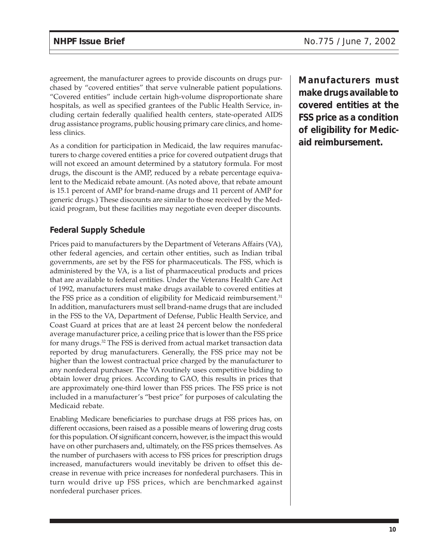agreement, the manufacturer agrees to provide discounts on drugs purchased by "covered entities" that serve vulnerable patient populations. "Covered entities" include certain high-volume disproportionate share hospitals, as well as specified grantees of the Public Health Service, including certain federally qualified health centers, state-operated AIDS drug assistance programs, public housing primary care clinics, and homeless clinics.

As a condition for participation in Medicaid, the law requires manufacturers to charge covered entities a price for covered outpatient drugs that will not exceed an amount determined by a statutory formula. For most drugs, the discount is the AMP, reduced by a rebate percentage equivalent to the Medicaid rebate amount. (As noted above, that rebate amount is 15.1 percent of AMP for brand-name drugs and 11 percent of AMP for generic drugs.) These discounts are similar to those received by the Medicaid program, but these facilities may negotiate even deeper discounts.

#### **Federal Supply Schedule**

Prices paid to manufacturers by the Department of Veterans Affairs (VA), other federal agencies, and certain other entities, such as Indian tribal governments, are set by the FSS for pharmaceuticals. The FSS, which is administered by the VA, is a list of pharmaceutical products and prices that are available to federal entities. Under the Veterans Health Care Act of 1992, manufacturers must make drugs available to covered entities at the FSS price as a condition of eligibility for Medicaid reimbursement.<sup>31</sup> In addition, manufacturers must sell brand-name drugs that are included in the FSS to the VA, Department of Defense, Public Health Service, and Coast Guard at prices that are at least 24 percent below the nonfederal average manufacturer price, a ceiling price that is lower than the FSS price for many drugs.32 The FSS is derived from actual market transaction data reported by drug manufacturers. Generally, the FSS price may not be higher than the lowest contractual price charged by the manufacturer to any nonfederal purchaser. The VA routinely uses competitive bidding to obtain lower drug prices. According to GAO, this results in prices that are approximately one-third lower than FSS prices. The FSS price is not included in a manufacturer's "best price" for purposes of calculating the Medicaid rebate.

Enabling Medicare beneficiaries to purchase drugs at FSS prices has, on different occasions, been raised as a possible means of lowering drug costs for this population. Of significant concern, however, is the impact this would have on other purchasers and, ultimately, on the FSS prices themselves. As the number of purchasers with access to FSS prices for prescription drugs increased, manufacturers would inevitably be driven to offset this decrease in revenue with price increases for nonfederal purchasers. This in turn would drive up FSS prices, which are benchmarked against nonfederal purchaser prices.

**Manufacturers must make drugs available to covered entities at the FSS price as a condition of eligibility for Medicaid reimbursement.**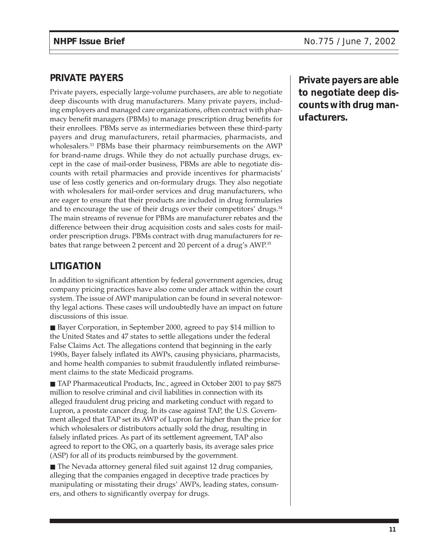#### **PRIVATE PAYERS**

Private payers, especially large-volume purchasers, are able to negotiate deep discounts with drug manufacturers. Many private payers, including employers and managed care organizations, often contract with pharmacy benefit managers (PBMs) to manage prescription drug benefits for their enrollees. PBMs serve as intermediaries between these third-party payers and drug manufacturers, retail pharmacies, pharmacists, and wholesalers.<sup>33</sup> PBMs base their pharmacy reimbursements on the AWP for brand-name drugs. While they do not actually purchase drugs, except in the case of mail-order business, PBMs are able to negotiate discounts with retail pharmacies and provide incentives for pharmacists' use of less costly generics and on-formulary drugs. They also negotiate with wholesalers for mail-order services and drug manufacturers, who are eager to ensure that their products are included in drug formularies and to encourage the use of their drugs over their competitors' drugs.<sup>34</sup> The main streams of revenue for PBMs are manufacturer rebates and the difference between their drug acquisition costs and sales costs for mailorder prescription drugs. PBMs contract with drug manufacturers for rebates that range between 2 percent and 20 percent of a drug's AWP.35

### **LITIGATION**

In addition to significant attention by federal government agencies, drug company pricing practices have also come under attack within the court system. The issue of AWP manipulation can be found in several noteworthy legal actions. These cases will undoubtedly have an impact on future discussions of this issue.

■ Bayer Corporation, in September 2000, agreed to pay \$14 million to the United States and 47 states to settle allegations under the federal False Claims Act. The allegations contend that beginning in the early 1990s, Bayer falsely inflated its AWPs, causing physicians, pharmacists, and home health companies to submit fraudulently inflated reimbursement claims to the state Medicaid programs.

■ TAP Pharmaceutical Products, Inc., agreed in October 2001 to pay \$875 million to resolve criminal and civil liabilities in connection with its alleged fraudulent drug pricing and marketing conduct with regard to Lupron, a prostate cancer drug. In its case against TAP, the U.S. Government alleged that TAP set its AWP of Lupron far higher than the price for which wholesalers or distributors actually sold the drug, resulting in falsely inflated prices. As part of its settlement agreement, TAP also agreed to report to the OIG, on a quarterly basis, its average sales price (ASP) for all of its products reimbursed by the government.

■ The Nevada attorney general filed suit against 12 drug companies, alleging that the companies engaged in deceptive trade practices by manipulating or misstating their drugs' AWPs, leading states, consumers, and others to significantly overpay for drugs.

**Private payers are able to negotiate deep discounts with drug manufacturers.**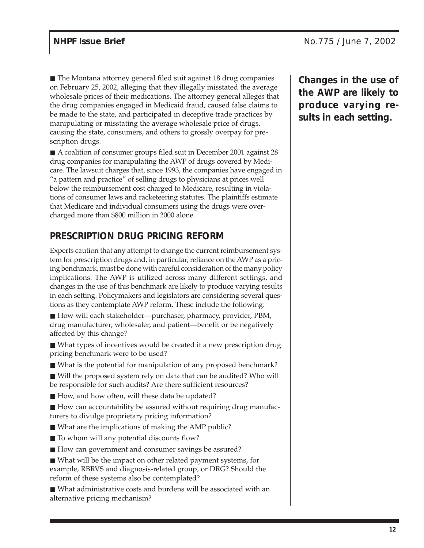■ The Montana attorney general filed suit against 18 drug companies on February 25, 2002, alleging that they illegally misstated the average wholesale prices of their medications. The attorney general alleges that the drug companies engaged in Medicaid fraud, caused false claims to be made to the state, and participated in deceptive trade practices by manipulating or misstating the average wholesale price of drugs, causing the state, consumers, and others to grossly overpay for prescription drugs.

■ A coalition of consumer groups filed suit in December 2001 against 28 drug companies for manipulating the AWP of drugs covered by Medicare. The lawsuit charges that, since 1993, the companies have engaged in "a pattern and practice" of selling drugs to physicians at prices well below the reimbursement cost charged to Medicare, resulting in violations of consumer laws and racketeering statutes. The plaintiffs estimate that Medicare and individual consumers using the drugs were overcharged more than \$800 million in 2000 alone.

## **PRESCRIPTION DRUG PRICING REFORM**

Experts caution that any attempt to change the current reimbursement system for prescription drugs and, in particular, reliance on the AWP as a pricing benchmark, must be done with careful consideration of the many policy implications. The AWP is utilized across many different settings, and changes in the use of this benchmark are likely to produce varying results in each setting. Policymakers and legislators are considering several questions as they contemplate AWP reform. These include the following:

■ How will each stakeholder—purchaser, pharmacy, provider, PBM, drug manufacturer, wholesaler, and patient—benefit or be negatively affected by this change?

■ What types of incentives would be created if a new prescription drug pricing benchmark were to be used?

■ What is the potential for manipulation of any proposed benchmark?

■ Will the proposed system rely on data that can be audited? Who will be responsible for such audits? Are there sufficient resources?

■ How, and how often, will these data be updated?

■ How can accountability be assured without requiring drug manufacturers to divulge proprietary pricing information?

- What are the implications of making the AMP public?
- To whom will any potential discounts flow?
- How can government and consumer savings be assured?

■ What will be the impact on other related payment systems, for example, RBRVS and diagnosis-related group, or DRG? Should the reform of these systems also be contemplated?

■ What administrative costs and burdens will be associated with an alternative pricing mechanism?

**Changes in the use of the AWP are likely to produce varying results in each setting.**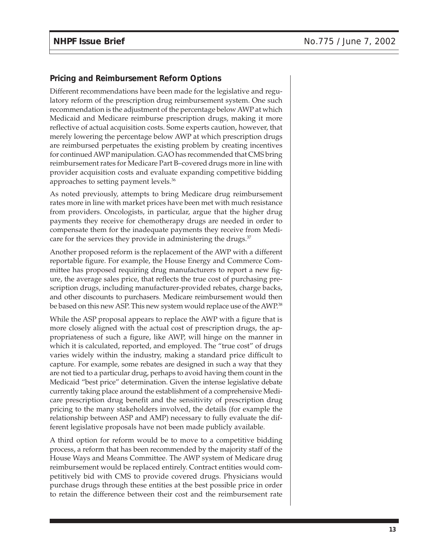#### **Pricing and Reimbursement Reform Options**

Different recommendations have been made for the legislative and regulatory reform of the prescription drug reimbursement system. One such recommendation is the adjustment of the percentage below AWP at which Medicaid and Medicare reimburse prescription drugs, making it more reflective of actual acquisition costs. Some experts caution, however, that merely lowering the percentage below AWP at which prescription drugs are reimbursed perpetuates the existing problem by creating incentives for continued AWP manipulation. GAO has recommended that CMS bring reimbursement rates for Medicare Part B–covered drugs more in line with provider acquisition costs and evaluate expanding competitive bidding approaches to setting payment levels.36

As noted previously, attempts to bring Medicare drug reimbursement rates more in line with market prices have been met with much resistance from providers. Oncologists, in particular, argue that the higher drug payments they receive for chemotherapy drugs are needed in order to compensate them for the inadequate payments they receive from Medicare for the services they provide in administering the drugs.<sup>37</sup>

Another proposed reform is the replacement of the AWP with a different reportable figure. For example, the House Energy and Commerce Committee has proposed requiring drug manufacturers to report a new figure, the average sales price, that reflects the true cost of purchasing prescription drugs, including manufacturer-provided rebates, charge backs, and other discounts to purchasers. Medicare reimbursement would then be based on this new ASP. This new system would replace use of the AWP.<sup>38</sup>

While the ASP proposal appears to replace the AWP with a figure that is more closely aligned with the actual cost of prescription drugs, the appropriateness of such a figure, like AWP, will hinge on the manner in which it is calculated, reported, and employed. The "true cost" of drugs varies widely within the industry, making a standard price difficult to capture. For example, some rebates are designed in such a way that they are not tied to a particular drug, perhaps to avoid having them count in the Medicaid "best price" determination. Given the intense legislative debate currently taking place around the establishment of a comprehensive Medicare prescription drug benefit and the sensitivity of prescription drug pricing to the many stakeholders involved, the details (for example the relationship between ASP and AMP) necessary to fully evaluate the different legislative proposals have not been made publicly available.

A third option for reform would be to move to a competitive bidding process, a reform that has been recommended by the majority staff of the House Ways and Means Committee. The AWP system of Medicare drug reimbursement would be replaced entirely. Contract entities would competitively bid with CMS to provide covered drugs. Physicians would purchase drugs through these entities at the best possible price in order to retain the difference between their cost and the reimbursement rate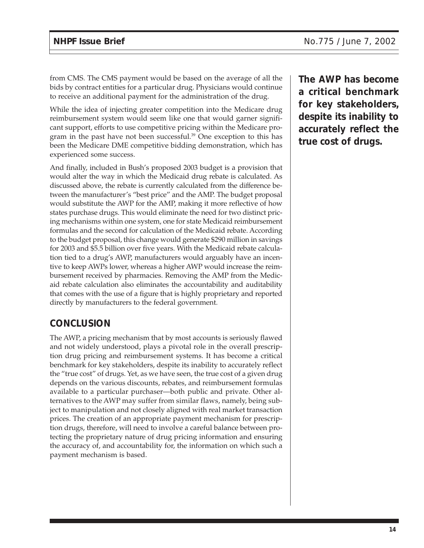from CMS. The CMS payment would be based on the average of all the bids by contract entities for a particular drug. Physicians would continue to receive an additional payment for the administration of the drug.

While the idea of injecting greater competition into the Medicare drug reimbursement system would seem like one that would garner significant support, efforts to use competitive pricing within the Medicare program in the past have not been successful.<sup>39</sup> One exception to this has been the Medicare DME competitive bidding demonstration, which has experienced some success.

And finally, included in Bush's proposed 2003 budget is a provision that would alter the way in which the Medicaid drug rebate is calculated. As discussed above, the rebate is currently calculated from the difference between the manufacturer's "best price" and the AMP. The budget proposal would substitute the AWP for the AMP, making it more reflective of how states purchase drugs. This would eliminate the need for two distinct pricing mechanisms within one system, one for state Medicaid reimbursement formulas and the second for calculation of the Medicaid rebate. According to the budget proposal, this change would generate \$290 million in savings for 2003 and \$5.5 billion over five years. With the Medicaid rebate calculation tied to a drug's AWP, manufacturers would arguably have an incentive to keep AWPs lower, whereas a higher AWP would increase the reimbursement received by pharmacies. Removing the AMP from the Medicaid rebate calculation also eliminates the accountability and auditability that comes with the use of a figure that is highly proprietary and reported directly by manufacturers to the federal government.

#### **CONCLUSION**

The AWP, a pricing mechanism that by most accounts is seriously flawed and not widely understood, plays a pivotal role in the overall prescription drug pricing and reimbursement systems. It has become a critical benchmark for key stakeholders, despite its inability to accurately reflect the "true cost" of drugs. Yet, as we have seen, the true cost of a given drug depends on the various discounts, rebates, and reimbursement formulas available to a particular purchaser—both public and private. Other alternatives to the AWP may suffer from similar flaws, namely, being subject to manipulation and not closely aligned with real market transaction prices. The creation of an appropriate payment mechanism for prescription drugs, therefore, will need to involve a careful balance between protecting the proprietary nature of drug pricing information and ensuring the accuracy of, and accountability for, the information on which such a payment mechanism is based.

**The AWP has become a critical benchmark for key stakeholders, despite its inability to accurately reflect the true cost of drugs.**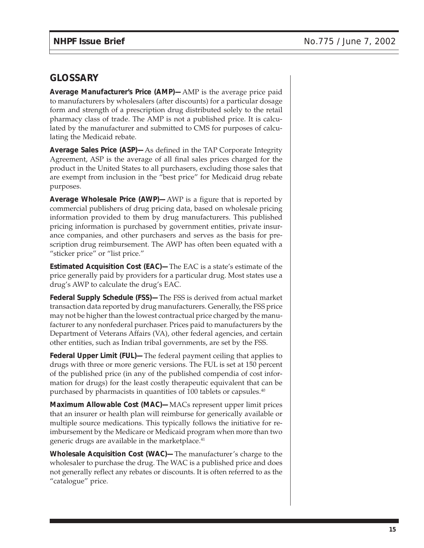#### **GLOSSARY**

**Average Manufacturer's Price (AMP)—**AMP is the average price paid to manufacturers by wholesalers (after discounts) for a particular dosage form and strength of a prescription drug distributed solely to the retail pharmacy class of trade. The AMP is not a published price. It is calculated by the manufacturer and submitted to CMS for purposes of calculating the Medicaid rebate.

**Average Sales Price (ASP)—**As defined in the TAP Corporate Integrity Agreement, ASP is the average of all final sales prices charged for the product in the United States to all purchasers, excluding those sales that are exempt from inclusion in the "best price" for Medicaid drug rebate purposes.

**Average Wholesale Price (AWP)—**AWP is a figure that is reported by commercial publishers of drug pricing data, based on wholesale pricing information provided to them by drug manufacturers. This published pricing information is purchased by government entities, private insurance companies, and other purchasers and serves as the basis for prescription drug reimbursement. The AWP has often been equated with a "sticker price" or "list price."

**Estimated Acquisition Cost (EAC)—**The EAC is a state's estimate of the price generally paid by providers for a particular drug. Most states use a drug's AWP to calculate the drug's EAC.

**Federal Supply Schedule (FSS)—**The FSS is derived from actual market transaction data reported by drug manufacturers. Generally, the FSS price may not be higher than the lowest contractual price charged by the manufacturer to any nonfederal purchaser. Prices paid to manufacturers by the Department of Veterans Affairs (VA), other federal agencies, and certain other entities, such as Indian tribal governments, are set by the FSS.

**Federal Upper Limit (FUL)—**The federal payment ceiling that applies to drugs with three or more generic versions. The FUL is set at 150 percent of the published price (in any of the published compendia of cost information for drugs) for the least costly therapeutic equivalent that can be purchased by pharmacists in quantities of 100 tablets or capsules.<sup>40</sup>

**Maximum Allowable Cost (MAC)—**MACs represent upper limit prices that an insurer or health plan will reimburse for generically available or multiple source medications. This typically follows the initiative for reimbursement by the Medicare or Medicaid program when more than two generic drugs are available in the marketplace.<sup>41</sup>

**Wholesale Acquisition Cost (WAC)—**The manufacturer's charge to the wholesaler to purchase the drug. The WAC is a published price and does not generally reflect any rebates or discounts. It is often referred to as the "catalogue" price.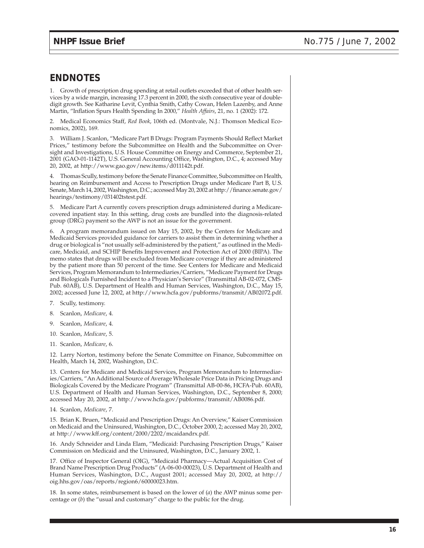#### **ENDNOTES**

1. Growth of prescription drug spending at retail outlets exceeded that of other health services by a wide margin, increasing 17.3 percent in 2000, the sixth consecutive year of doubledigit growth. See Katharine Levit, Cynthia Smith, Cathy Cowan, Helen Lazenby, and Anne Martin, "Inflation Spurs Health Spending In 2000," *Health Affairs*, 21, no. 1 (2002): 172.

2. Medical Economics Staff, *Red Book*, 106th ed. (Montvale, N.J.: Thomson Medical Economics, 2002), 169.

3. William J. Scanlon, "Medicare Part B Drugs: Program Payments Should Reflect Market Prices," testimony before the Subcommittee on Health and the Subcommittee on Oversight and Investigations, U.S. House Committee on Energy and Commerce, September 21, 2001 (GAO-01-1142T), U.S. General Accounting Office, Washington, D.C., 4; accessed May 20, 2002, at http://www.gao.gov/new.items/d011142t.pdf.

4. Thomas Scully, testimony before the Senate Finance Committee, Subcommittee on Health, hearing on Reimbursement and Access to Prescription Drugs under Medicare Part B, U.S. Senate, March 14, 2002, Washington, D.C.; accessed May 20, 2002 at http://finance.senate.gov/ hearings/testimony/031402tstest.pdf.

5. Medicare Part A currently covers prescription drugs administered during a Medicarecovered inpatient stay. In this setting, drug costs are bundled into the diagnosis-related group (DRG) payment so the AWP is not an issue for the government.

6. A program memorandum issued on May 15, 2002, by the Centers for Medicare and Medicaid Services provided guidance for carriers to assist them in determining whether a drug or biological is "not usually self-administered by the patient," as outlined in the Medicare, Medicaid, and SCHIP Benefits Improvement and Protection Act of 2000 (BIPA). The memo states that drugs will be excluded from Medicare coverage if they are administered by the patient more than 50 percent of the time. See Centers for Medicare and Medicaid Services, Program Memorandum to Intermediaries/Carriers, "Medicare Payment for Drugs and Biologicals Furnished Incident to a Physician's Service" (Transmittal AB-02-072, CMS-Pub. 60AB), U.S. Department of Health and Human Services, Washington, D.C., May 15, 2002; accessed June 12, 2002, at http://www.hcfa.gov/pubforms/transmit/AB02072.pdf.

- 7. Scully, testimony.
- 8. Scanlon, *Medicare*, 4.
- 9. Scanlon, *Medicare*, 4.
- 10. Scanlon, *Medicare*, 5.
- 11. Scanlon, *Medicare*, 6.

12. Larry Norton, testimony before the Senate Committee on Finance, Subcommittee on Health, March 14, 2002, Washington, D.C.

13. Centers for Medicare and Medicaid Services, Program Memorandum to Intermediaries/Carriers, "An Additional Source of Average Wholesale Price Data in Pricing Drugs and Biologicals Covered by the Medicare Program" (Transmittal AB-00-86, HCFA-Pub. 60AB), U.S. Department of Health and Human Services, Washington, D.C., September 8, 2000; accessed May 20, 2002, at http://www.hcfa.gov/pubforms/transmit/AB0086.pdf.

14. Scanlon, *Medicare*, 7.

15. Brian K. Bruen, "Medicaid and Prescription Drugs: An Overview," Kaiser Commission on Medicaid and the Uninsured, Washington, D.C., October 2000, 2; accessed May 20, 2002, at http://www.kff.org/content/2000/2202/mcaidandrx.pdf.

16. Andy Schneider and Linda Elam, "Medicaid: Purchasing Prescription Drugs," Kaiser Commission on Medicaid and the Uninsured, Washington, D.C., January 2002, 1.

17. Office of Inspector General (OIG), "Medicaid Pharmacy—Actual Acquisition Cost of Brand Name Prescription Drug Products" (A-06-00-00023), U.S. Department of Health and Human Services, Washington, D.C., August 2001; accessed May 20, 2002, at http:// oig.hhs.gov/oas/reports/region6/60000023.htm.

18. In some states, reimbursement is based on the lower of (*a*) the AWP minus some percentage or (*b*) the "usual and customary" charge to the public for the drug.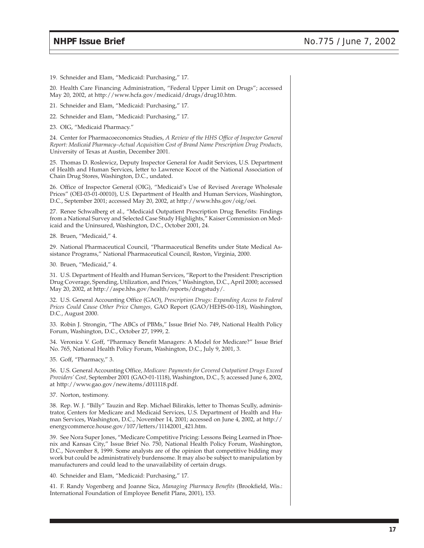19. Schneider and Elam, "Medicaid: Purchasing," 17.

20. Health Care Financing Administration, "Federal Upper Limit on Drugs"; accessed May 20, 2002, at http://www.hcfa.gov/medicaid/drugs/drug10.htm.

21. Schneider and Elam, "Medicaid: Purchasing," 17.

22. Schneider and Elam, "Medicaid: Purchasing," 17.

23. OIG, "Medicaid Pharmacy."

24. Center for Pharmacoeconomics Studies, *A Review of the HHS Office of Inspector General Report: Medicaid Pharmacy–Actual Acquisition Cost of Brand Name Prescription Drug Products,* University of Texas at Austin, December 2001.

25. Thomas D. Roslewicz, Deputy Inspector General for Audit Services, U.S. Department of Health and Human Services, letter to Lawrence Kocot of the National Association of Chain Drug Stores, Washington, D.C., undated.

26. Office of Inspector General (OIG), "Medicaid's Use of Revised Average Wholesale Prices" (OEI-03-01-00010), U.S. Department of Health and Human Services, Washington, D.C., September 2001; accessed May 20, 2002, at http://www.hhs.gov/oig/oei.

27. Renee Schwalberg et al., "Medicaid Outpatient Prescription Drug Benefits: Findings from a National Survey and Selected Case Study Highlights," Kaiser Commission on Medicaid and the Uninsured, Washington, D.C., October 2001, 24.

28. Bruen, "Medicaid," 4.

29. National Pharmaceutical Council, "Pharmaceutical Benefits under State Medical Assistance Programs," National Pharmaceutical Council, Reston, Virginia, 2000.

30. Bruen, "Medicaid," 4.

31. U.S. Department of Health and Human Services, "Report to the President: Prescription Drug Coverage, Spending, Utilization, and Prices," Washington, D.C., April 2000; accessed May 20, 2002, at http://aspe.hhs.gov/health/reports/drugstudy/.

32. U.S. General Accounting Office (GAO), *Prescription Drugs: Expanding Access to Federal Prices Could Cause Other Price Changes,* GAO Report (GAO/HEHS-00-118), Washington, D.C., August 2000.

33. Robin J. Strongin, "The ABCs of PBMs," Issue Brief No. 749, National Health Policy Forum, Washington, D.C., October 27, 1999, 2.

34. Veronica V. Goff, "Pharmacy Benefit Managers: A Model for Medicare?" Issue Brief No. 765, National Health Policy Forum, Washington, D.C., July 9, 2001, 3.

35. Goff, "Pharmacy," 3.

36. U.S. General Accounting Office, *Medicare: Payments for Covered Outpatient Drugs Exceed Providers' Cost,* September 2001 (GAO-01-1118), Washington, D.C., 5; accessed June 6, 2002, at http://www.gao.gov/new.items/d011118.pdf.

37. Norton, testimony.

38. Rep. W. J. "Billy" Tauzin and Rep. Michael Bilirakis, letter to Thomas Scully, administrator, Centers for Medicare and Medicaid Services, U.S. Department of Health and Human Services, Washington, D.C., November 14, 2001; accessed on June 4, 2002, at http:// energycommerce.house.gov/107/letters/11142001\_421.htm.

39. See Nora Super Jones, "Medicare Competitive Pricing: Lessons Being Learned in Phoenix and Kansas City," Issue Brief No. 750, National Health Policy Forum, Washington, D.C., November 8, 1999. Some analysts are of the opinion that competitive bidding may work but could be administratively burdensome. It may also be subject to manipulation by manufacturers and could lead to the unavailability of certain drugs.

40. Schneider and Elam, "Medicaid: Purchasing," 17.

41. F. Randy Vogenberg and Joanne Sica, *Managing Pharmacy Benefits* (Brookfield, Wis.: International Foundation of Employee Benefit Plans, 2001), 153.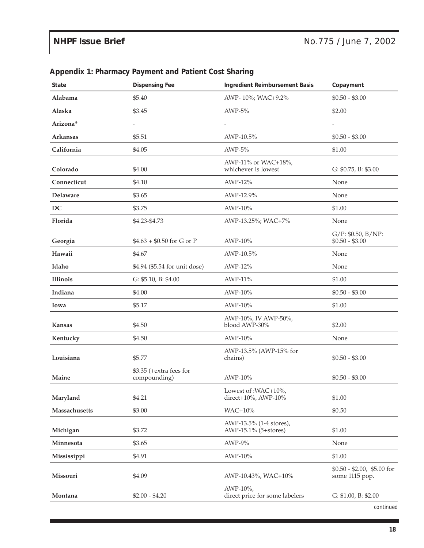| <b>State</b>    | <b>Dispensing Fee</b>                   | Ingredient Reimbursement Basis                  | Copayment                                    |
|-----------------|-----------------------------------------|-------------------------------------------------|----------------------------------------------|
| Alabama         | \$5.40                                  | AWP-10%; WAC+9.2%                               | $$0.50 - $3.00$                              |
| Alaska          | \$3.45                                  | $AWP-5%$                                        | \$2.00                                       |
| Arizona*        | $\overline{\phantom{a}}$                |                                                 | -                                            |
| <b>Arkansas</b> | \$5.51                                  | AWP-10.5%                                       | $$0.50 - $3.00$                              |
| California      | \$4.05                                  | $AWP-5%$                                        | \$1.00                                       |
| Colorado        | \$4.00                                  | AWP-11% or WAC+18%,<br>whichever is lowest      | G: $$0.75$ , B: $$3.00$                      |
| Connecticut     | \$4.10                                  | AWP-12%                                         | None                                         |
| Delaware        | \$3.65                                  | AWP-12.9%                                       | None                                         |
| DC              | \$3.75                                  | AWP-10%                                         | \$1.00                                       |
| Florida         | \$4.23-\$4.73                           | AWP-13.25%; WAC+7%                              | None                                         |
| Georgia         | $$4.63 + $0.50$ for G or P              | AWP-10%                                         | $G/P$ : \$0.50, B/NP:<br>$$0.50 - $3.00$     |
| Hawaii          | \$4.67                                  | AWP-10.5%                                       | None                                         |
| Idaho           | \$4.94 (\$5.54 for unit dose)           | AWP-12%                                         | None                                         |
| Illinois        | G: \$5.10, B: \$4.00                    | AWP-11%                                         | \$1.00                                       |
| Indiana         | \$4.00                                  | AWP-10%                                         | $$0.50 - $3.00$                              |
| Iowa            | \$5.17                                  | AWP-10%                                         | \$1.00                                       |
| <b>Kansas</b>   | \$4.50                                  | AWP-10%, IV AWP-50%,<br>blood AWP-30%           | \$2.00                                       |
| Kentucky        | \$4.50                                  | AWP-10%                                         | None                                         |
| Louisiana       | \$5.77                                  | AWP-13.5% (AWP-15% for<br>chains)               | $$0.50 - $3.00$                              |
| Maine           | \$3.35 (+extra fees for<br>compounding) | AWP-10%                                         | $$0.50 - $3.00$                              |
| Maryland        | \$4.21                                  | Lowest of : WAC+10%,<br>direct+10%, AWP-10%     | \$1.00                                       |
| Massachusetts   | \$3.00                                  | WAC+10%                                         | \$0.50                                       |
| Michigan        | \$3.72                                  | AWP-13.5% (1-4 stores),<br>AWP-15.1% (5+stores) | \$1.00                                       |
| Minnesota       | \$3.65                                  | AWP-9%                                          | None                                         |
| Mississippi     | \$4.91                                  | AWP-10%                                         | \$1.00                                       |
| Missouri        | \$4.09                                  | AWP-10.43%, WAC+10%                             | $$0.50 - $2.00, $5.00$ for<br>some 1115 pop. |
| Montana         | $$2.00 - $4.20$                         | AWP-10%,<br>direct price for some labelers      | G: \$1.00, B: \$2.00                         |

#### **Appendix 1: Pharmacy Payment and Patient Cost Sharing**

*continued*